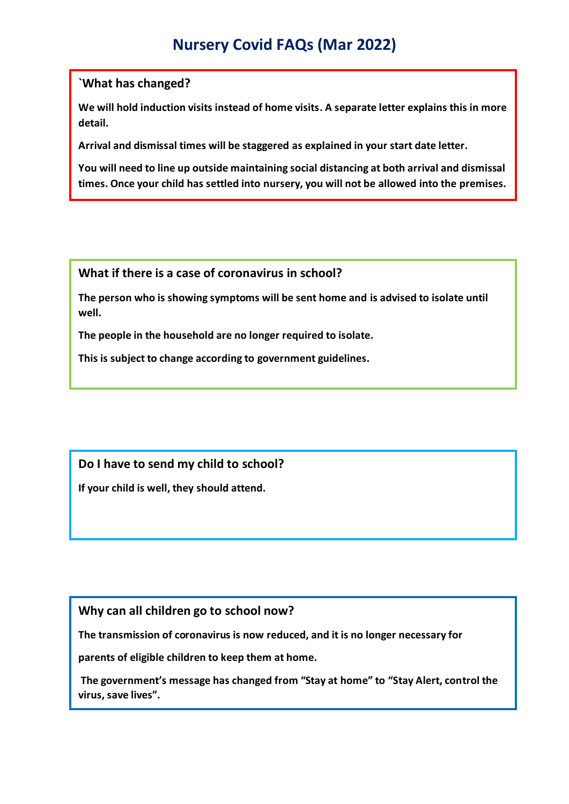## **Nursery Covid FAQs (Mar 2022)**

#### **`What has changed?**

**We will hold induction visits instead of home visits. A separate letter explains this in more detail.**

**Arrival and dismissal times will be staggered as explained in your start date letter.**

**You will need to line up outside maintaining social distancing at both arrival and dismissal times. Once your child has settled into nursery, you will not be allowed into the premises.**

**What if there is a case of coronavirus in school?**

**The person who is showing symptoms will be sent home and is advised to isolate until well.** 

**The people in the household are no longer required to isolate.**

**This is subject to change according to government guidelines.**

## **Do I have to send my child to school?**

**If your child is well, they should attend.**

### **Why can all children go to school now?**

**The transmission of coronavirus is now reduced, and it is no longer necessary for**

**parents of eligible children to keep them at home.**

**The government's message has changed from "Stay at home" to "Stay Alert, control the virus, save lives".**